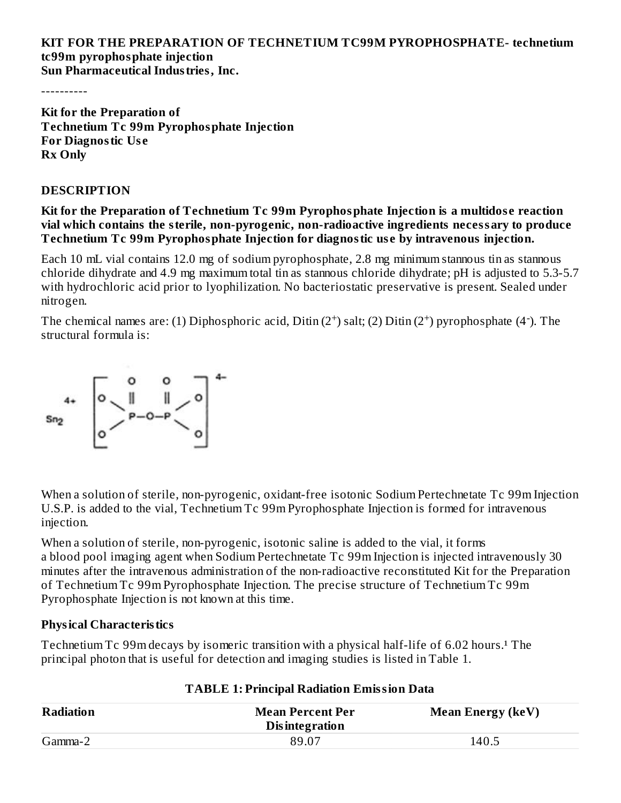#### **KIT FOR THE PREPARATION OF TECHNETIUM TC99M PYROPHOSPHATE- technetium tc99m pyrophosphate injection Sun Pharmaceutical Industries, Inc.**

----------

**Kit for the Preparation of Technetium Tc 99m Pyrophosphate Injection For Diagnostic Us e Rx Only**

#### **DESCRIPTION**

#### **Kit for the Preparation of Technetium Tc 99m Pyrophosphate Injection is a multidos e reaction vial which contains the sterile, non-pyrogenic, non-radioactive ingredients necessary to produce Technetium Tc 99m Pyrophosphate Injection for diagnostic us e by intravenous injection.**

Each 10 mL vial contains 12.0 mg of sodium pyrophosphate, 2.8 mg minimum stannous tin as stannous chloride dihydrate and 4.9 mg maximum total tin as stannous chloride dihydrate; pH is adjusted to 5.3-5.7 with hydrochloric acid prior to lyophilization. No bacteriostatic preservative is present. Sealed under nitrogen.

The chemical names are: (1) Diphosphoric acid, Ditin  $(2^+)$  salt; (2) Ditin  $(2^+)$  pyrophosphate (4<sup>-</sup>). The structural formula is:



When a solution of sterile, non-pyrogenic, oxidant-free isotonic Sodium Pertechnetate Tc 99m Injection U.S.P. is added to the vial, Technetium Tc 99m Pyrophosphate Injection is formed for intravenous injection.

When a solution of sterile, non-pyrogenic, isotonic saline is added to the vial, it forms a blood pool imaging agent when Sodium Pertechnetate Tc 99m Injection is injected intravenously 30 minutes after the intravenous administration of the non-radioactive reconstituted Kit for the Preparation of Technetium Tc 99m Pyrophosphate Injection. The precise structure of Technetium Tc 99m Pyrophosphate Injection is not known at this time.

### **Physical Characteristics**

Technetium Tc 99m decays by isomeric transition with a physical half-life of 6.02 hours.<sup>1</sup> The principal photon that is useful for detection and imaging studies is listed in Table 1.

| <b>Radiation</b> | <b>Mean Percent Per</b><br><b>Disintegration</b> | <b>Mean Energy (keV)</b> |  |  |
|------------------|--------------------------------------------------|--------------------------|--|--|
| Gamma-2          | 89.07                                            | 140.5                    |  |  |

## **TABLE 1: Principal Radiation Emission Data**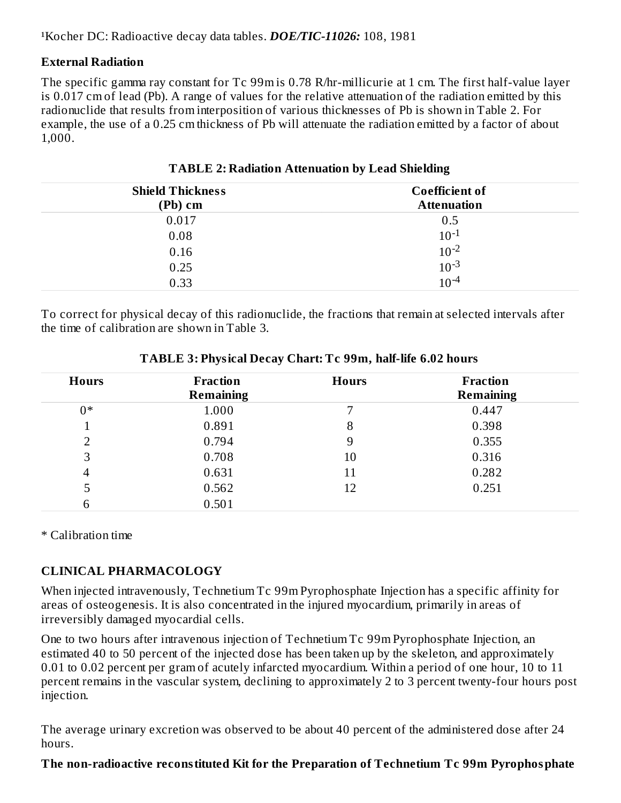### **External Radiation**

The specific gamma ray constant for Tc 99m is 0.78 R/hr-millicurie at 1 cm. The first half-value layer is 0.017 cm of lead (Pb). A range of values for the relative attenuation of the radiation emitted by this radionuclide that results from interposition of various thicknesses of Pb is shown in Table 2. For example, the use of a 0.25 cm thickness of Pb will attenuate the radiation emitted by a factor of about 1,000.

| <b>Shield Thickness</b> | <b>Coefficient of</b>  |
|-------------------------|------------------------|
| (Pb) cm                 | <b>Attenuation</b>     |
| 0.017                   | 0.5                    |
| 0.08                    | $10^{-1}$              |
| 0.16                    | $10^{-2}$              |
| 0.25                    | $10^{-3}$<br>$10^{-4}$ |
| 0.33                    |                        |

**TABLE 2: Radiation Attenuation by Lead Shielding**

To correct for physical decay of this radionuclide, the fractions that remain at selected intervals after the time of calibration are shown in Table 3.

| <b>Hours</b>  | <b>Fraction</b><br><b>Remaining</b> | <b>Hours</b> | <b>Fraction</b><br><b>Remaining</b> |
|---------------|-------------------------------------|--------------|-------------------------------------|
| $0*$          | 1.000                               | 7            | 0.447                               |
|               | 0.891                               | 8            | 0.398                               |
| $\mathcal{D}$ | 0.794                               | 9            | 0.355                               |
| 3             | 0.708                               | 10           | 0.316                               |
| 4             | 0.631                               | 11           | 0.282                               |
| 5             | 0.562                               | 12           | 0.251                               |
| 6             | 0.501                               |              |                                     |

**TABLE 3: Physical Decay Chart: Tc 99m, half-life 6.02 hours**

\* Calibration time

### **CLINICAL PHARMACOLOGY**

When injected intravenously, Technetium Tc 99m Pyrophosphate Injection has a specific affinity for areas of osteogenesis. It is also concentrated in the injured myocardium, primarily in areas of irreversibly damaged myocardial cells.

One to two hours after intravenous injection of Technetium Tc 99m Pyrophosphate Injection, an estimated 40 to 50 percent of the injected dose has been taken up by the skeleton, and approximately 0.01 to 0.02 percent per gram of acutely infarcted myocardium. Within a period of one hour, 10 to 11 percent remains in the vascular system, declining to approximately 2 to 3 percent twenty-four hours post injection.

The average urinary excretion was observed to be about 40 percent of the administered dose after 24 hours.

### **The non-radioactive reconstituted Kit for the Preparation of Technetium Tc 99m Pyrophosphate**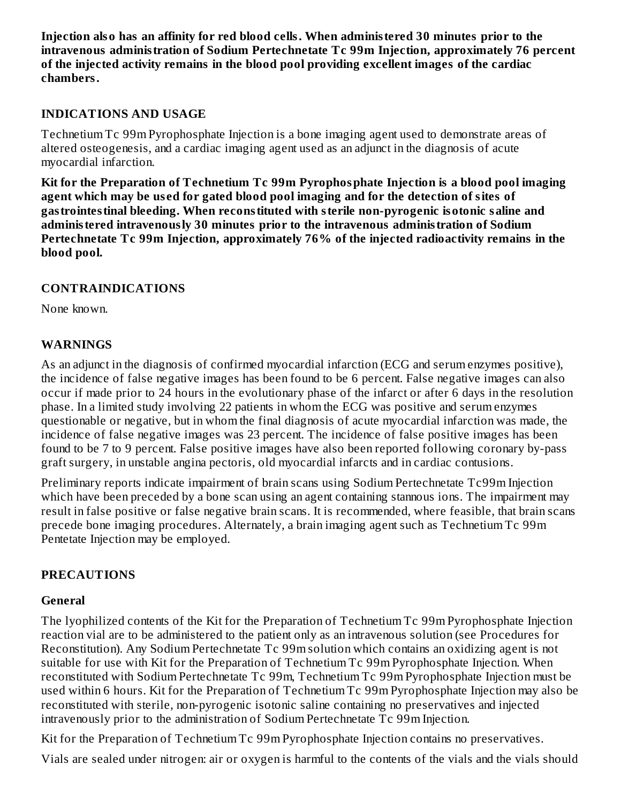**Injection also has an affinity for red blood cells. When administered 30 minutes prior to the intravenous administration of Sodium Pertechnetate Tc 99m Injection, approximately 76 percent of the injected activity remains in the blood pool providing excellent images of the cardiac chambers.**

#### **INDICATIONS AND USAGE**

Technetium Tc 99m Pyrophosphate Injection is a bone imaging agent used to demonstrate areas of altered osteogenesis, and a cardiac imaging agent used as an adjunct in the diagnosis of acute myocardial infarction.

**Kit for the Preparation of Technetium Tc 99m Pyrophosphate Injection is a blood pool imaging agent which may be us ed for gated blood pool imaging and for the detection of sites of gastrointestinal bleeding. When reconstituted with sterile non-pyrogenic isotonic saline and administered intravenously 30 minutes prior to the intravenous administration of Sodium Pertechnetate Tc 99m Injection, approximately 76% of the injected radioactivity remains in the blood pool.**

#### **CONTRAINDICATIONS**

None known.

#### **WARNINGS**

As an adjunct in the diagnosis of confirmed myocardial infarction (ECG and serum enzymes positive), the incidence of false negative images has been found to be 6 percent. False negative images can also occur if made prior to 24 hours in the evolutionary phase of the infarct or after 6 days in the resolution phase. In a limited study involving 22 patients in whom the ECG was positive and serum enzymes questionable or negative, but in whom the final diagnosis of acute myocardial infarction was made, the incidence of false negative images was 23 percent. The incidence of false positive images has been found to be 7 to 9 percent. False positive images have also been reported following coronary by-pass graft surgery, in unstable angina pectoris, old myocardial infarcts and in cardiac contusions.

Preliminary reports indicate impairment of brain scans using Sodium Pertechnetate Tc99m Injection which have been preceded by a bone scan using an agent containing stannous ions. The impairment may result in false positive or false negative brain scans. It is recommended, where feasible, that brain scans precede bone imaging procedures. Alternately, a brain imaging agent such as Technetium Tc 99m Pentetate Injection may be employed.

### **PRECAUTIONS**

#### **General**

The lyophilized contents of the Kit for the Preparation of Technetium Tc 99m Pyrophosphate Injection reaction vial are to be administered to the patient only as an intravenous solution (see Procedures for Reconstitution). Any Sodium Pertechnetate Tc 99m solution which contains an oxidizing agent is not suitable for use with Kit for the Preparation of Technetium Tc 99m Pyrophosphate Injection. When reconstituted with Sodium Pertechnetate Tc 99m, Technetium Tc 99m Pyrophosphate Injection must be used within 6 hours. Kit for the Preparation of Technetium Tc 99m Pyrophosphate Injection may also be reconstituted with sterile, non-pyrogenic isotonic saline containing no preservatives and injected intravenously prior to the administration of Sodium Pertechnetate Tc 99m Injection.

Kit for the Preparation of Technetium Tc 99m Pyrophosphate Injection contains no preservatives.

Vials are sealed under nitrogen: air or oxygen is harmful to the contents of the vials and the vials should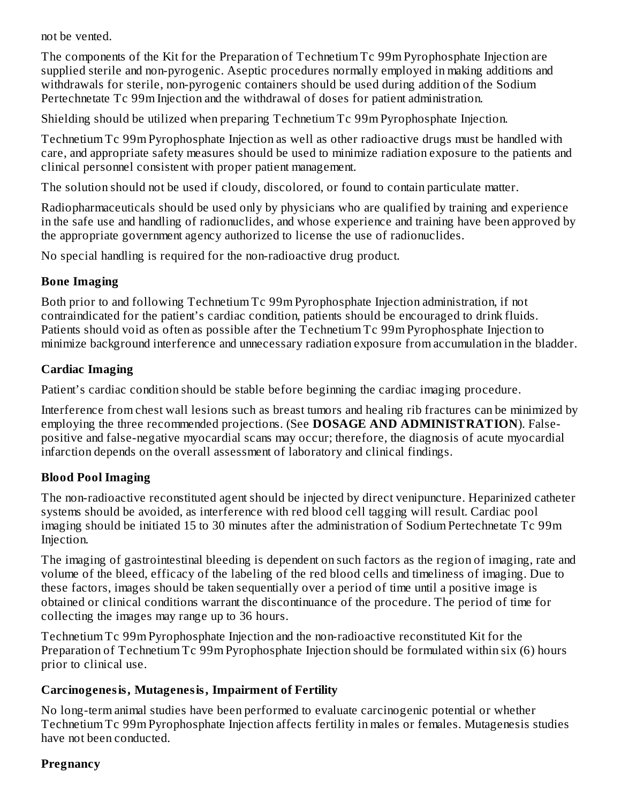not be vented.

The components of the Kit for the Preparation of Technetium Tc 99m Pyrophosphate Injection are supplied sterile and non-pyrogenic. Aseptic procedures normally employed in making additions and withdrawals for sterile, non-pyrogenic containers should be used during addition of the Sodium Pertechnetate Tc 99m Injection and the withdrawal of doses for patient administration.

Shielding should be utilized when preparing Technetium Tc 99m Pyrophosphate Injection.

Technetium Tc 99m Pyrophosphate Injection as well as other radioactive drugs must be handled with care, and appropriate safety measures should be used to minimize radiation exposure to the patients and clinical personnel consistent with proper patient management.

The solution should not be used if cloudy, discolored, or found to contain particulate matter.

Radiopharmaceuticals should be used only by physicians who are qualified by training and experience in the safe use and handling of radionuclides, and whose experience and training have been approved by the appropriate government agency authorized to license the use of radionuclides.

No special handling is required for the non-radioactive drug product.

### **Bone Imaging**

Both prior to and following Technetium Tc 99m Pyrophosphate Injection administration, if not contraindicated for the patient's cardiac condition, patients should be encouraged to drink fluids. Patients should void as often as possible after the Technetium Tc 99m Pyrophosphate Injection to minimize background interference and unnecessary radiation exposure from accumulation in the bladder.

## **Cardiac Imaging**

Patient's cardiac condition should be stable before beginning the cardiac imaging procedure.

Interference from chest wall lesions such as breast tumors and healing rib fractures can be minimized by employing the three recommended projections. (See **DOSAGE AND ADMINISTRATION**). Falsepositive and false-negative myocardial scans may occur; therefore, the diagnosis of acute myocardial infarction depends on the overall assessment of laboratory and clinical findings.

## **Blood Pool Imaging**

The non-radioactive reconstituted agent should be injected by direct venipuncture. Heparinized catheter systems should be avoided, as interference with red blood cell tagging will result. Cardiac pool imaging should be initiated 15 to 30 minutes after the administration of Sodium Pertechnetate Tc 99m Injection.

The imaging of gastrointestinal bleeding is dependent on such factors as the region of imaging, rate and volume of the bleed, efficacy of the labeling of the red blood cells and timeliness of imaging. Due to these factors, images should be taken sequentially over a period of time until a positive image is obtained or clinical conditions warrant the discontinuance of the procedure. The period of time for collecting the images may range up to 36 hours.

Technetium Tc 99m Pyrophosphate Injection and the non-radioactive reconstituted Kit for the Preparation of Technetium Tc 99m Pyrophosphate Injection should be formulated within six (6) hours prior to clinical use.

## **Carcinogenesis, Mutagenesis, Impairment of Fertility**

No long-term animal studies have been performed to evaluate carcinogenic potential or whether Technetium Tc 99m Pyrophosphate Injection affects fertility in males or females. Mutagenesis studies have not been conducted.

### **Pregnancy**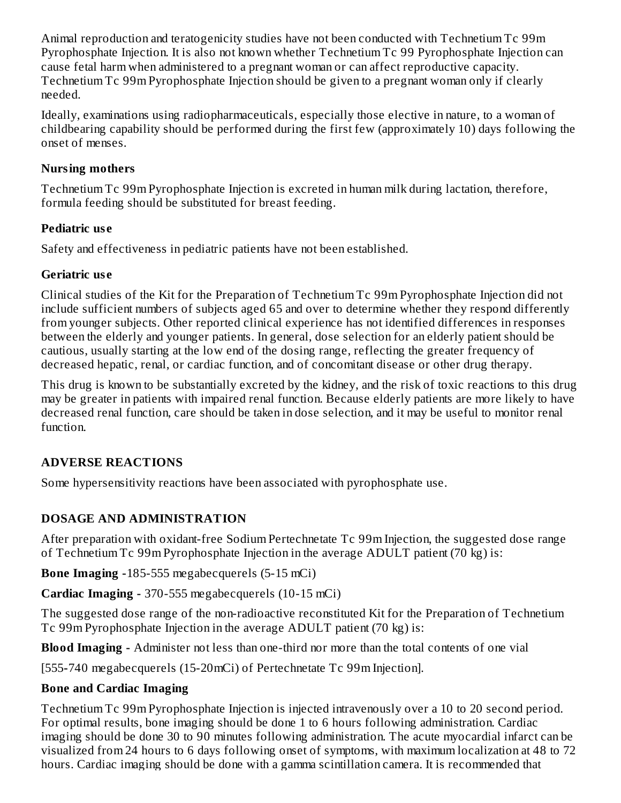Animal reproduction and teratogenicity studies have not been conducted with Technetium Tc 99m Pyrophosphate Injection. It is also not known whether Technetium Tc 99 Pyrophosphate Injection can cause fetal harm when administered to a pregnant woman or can affect reproductive capacity. Technetium Tc 99m Pyrophosphate Injection should be given to a pregnant woman only if clearly needed.

Ideally, examinations using radiopharmaceuticals, especially those elective in nature, to a woman of childbearing capability should be performed during the first few (approximately 10) days following the onset of menses.

### **Nursing mothers**

Technetium Tc 99m Pyrophosphate Injection is excreted in human milk during lactation, therefore, formula feeding should be substituted for breast feeding.

## **Pediatric us e**

Safety and effectiveness in pediatric patients have not been established.

### **Geriatric us e**

Clinical studies of the Kit for the Preparation of Technetium Tc 99m Pyrophosphate Injection did not include sufficient numbers of subjects aged 65 and over to determine whether they respond differently from younger subjects. Other reported clinical experience has not identified differences in responses between the elderly and younger patients. In general, dose selection for an elderly patient should be cautious, usually starting at the low end of the dosing range, reflecting the greater frequency of decreased hepatic, renal, or cardiac function, and of concomitant disease or other drug therapy.

This drug is known to be substantially excreted by the kidney, and the risk of toxic reactions to this drug may be greater in patients with impaired renal function. Because elderly patients are more likely to have decreased renal function, care should be taken in dose selection, and it may be useful to monitor renal function.

# **ADVERSE REACTIONS**

Some hypersensitivity reactions have been associated with pyrophosphate use.

# **DOSAGE AND ADMINISTRATION**

After preparation with oxidant-free Sodium Pertechnetate Tc 99m Injection, the suggested dose range of Technetium Tc 99m Pyrophosphate Injection in the average ADULT patient (70 kg) is:

**Bone Imaging -**185-555 megabecquerels (5-15 mCi)

**Cardiac Imaging -** 370-555 megabecquerels (10-15 mCi)

The suggested dose range of the non-radioactive reconstituted Kit for the Preparation of Technetium Tc 99m Pyrophosphate Injection in the average ADULT patient (70 kg) is:

**Blood Imaging -** Administer not less than one-third nor more than the total contents of one vial

[555**-**740 megabecquerels (15-20mCi) of Pertechnetate Tc 99m Injection].

## **Bone and Cardiac Imaging**

Technetium Tc 99m Pyrophosphate Injection is injected intravenously over a 10 to 20 second period. For optimal results, bone imaging should be done 1 to 6 hours following administration. Cardiac imaging should be done 30 to 90 minutes following administration. The acute myocardial infarct can be visualized from 24 hours to 6 days following onset of symptoms, with maximum localization at 48 to 72 hours. Cardiac imaging should be done with a gamma scintillation camera. It is recommended that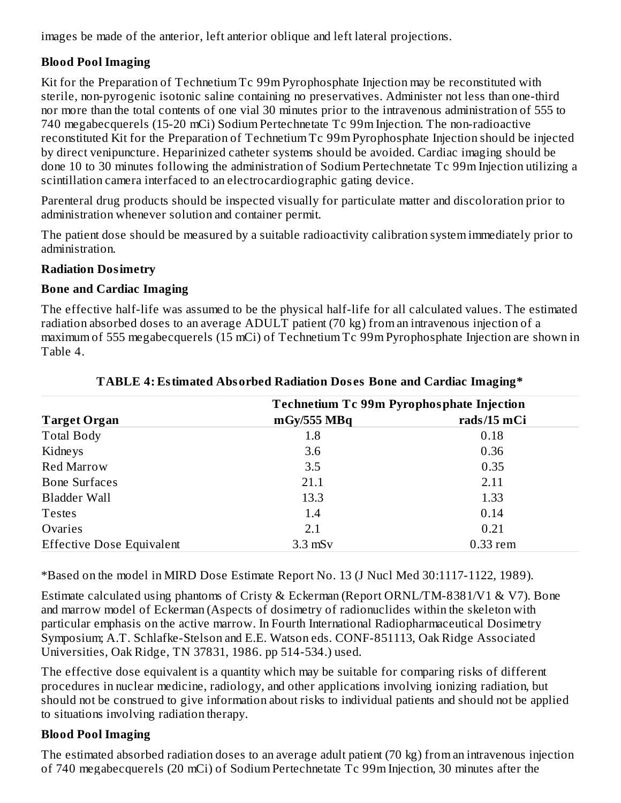images be made of the anterior, left anterior oblique and left lateral projections.

## **Blood Pool Imaging**

Kit for the Preparation of Technetium Tc 99m Pyrophosphate Injection may be reconstituted with sterile, non-pyrogenic isotonic saline containing no preservatives. Administer not less than one-third nor more than the total contents of one vial 30 minutes prior to the intravenous administration of 555 to 740 megabecquerels (15-20 mCi) Sodium Pertechnetate Tc 99m Injection. The non-radioactive reconstituted Kit for the Preparation of Technetium Tc 99m Pyrophosphate Injection should be injected by direct venipuncture. Heparinized catheter systems should be avoided. Cardiac imaging should be done 10 to 30 minutes following the administration of Sodium Pertechnetate Tc 99m Injection utilizing a scintillation camera interfaced to an electrocardiographic gating device.

Parenteral drug products should be inspected visually for particulate matter and discoloration prior to administration whenever solution and container permit.

The patient dose should be measured by a suitable radioactivity calibration system immediately prior to administration.

### **Radiation Dosimetry**

## **Bone and Cardiac Imaging**

The effective half-life was assumed to be the physical half-life for all calculated values. The estimated radiation absorbed doses to an average ADULT patient (70 kg) from an intravenous injection of a maximum of 555 megabecquerels (15 mCi) of Technetium Tc 99m Pyrophosphate Injection are shown in Table 4.

|                                  | <b>Technetium Tc 99m Pyrophosphate Injection</b> |             |  |  |
|----------------------------------|--------------------------------------------------|-------------|--|--|
| <b>Target Organ</b>              | mgy/555 MBq                                      | rads/15 mCi |  |  |
| <b>Total Body</b>                | 1.8                                              | 0.18        |  |  |
| Kidneys                          | 3.6                                              | 0.36        |  |  |
| <b>Red Marrow</b>                | 3.5                                              | 0.35        |  |  |
| <b>Bone Surfaces</b>             | 21.1                                             | 2.11        |  |  |
| Bladder Wall                     | 13.3                                             | 1.33        |  |  |
| <b>Testes</b>                    | 1.4                                              | 0.14        |  |  |
| Ovaries                          | 2.1                                              | 0.21        |  |  |
| <b>Effective Dose Equivalent</b> | $3.3$ mS $v$                                     | $0.33$ rem  |  |  |

### **TABLE 4: Estimated Absorbed Radiation Dos es Bone and Cardiac Imaging\***

\*Based on the model in MIRD Dose Estimate Report No. 13 (J Nucl Med 30:1117-1122, 1989).

Estimate calculated using phantoms of Cristy & Eckerman (Report ORNL/TM-8381/V1 & V7). Bone and marrow model of Eckerman (Aspects of dosimetry of radionuclides within the skeleton with particular emphasis on the active marrow. In Fourth International Radiopharmaceutical Dosimetry Symposium; A.T. Schlafke-Stelson and E.E. Watson eds. CONF-851113, Oak Ridge Associated Universities, Oak Ridge, TN 37831, 1986. pp 514-534.) used.

The effective dose equivalent is a quantity which may be suitable for comparing risks of different procedures in nuclear medicine, radiology, and other applications involving ionizing radiation, but should not be construed to give information about risks to individual patients and should not be applied to situations involving radiation therapy.

## **Blood Pool Imaging**

The estimated absorbed radiation doses to an average adult patient (70 kg) from an intravenous injection of 740 megabecquerels (20 mCi) of Sodium Pertechnetate Tc 99m Injection, 30 minutes after the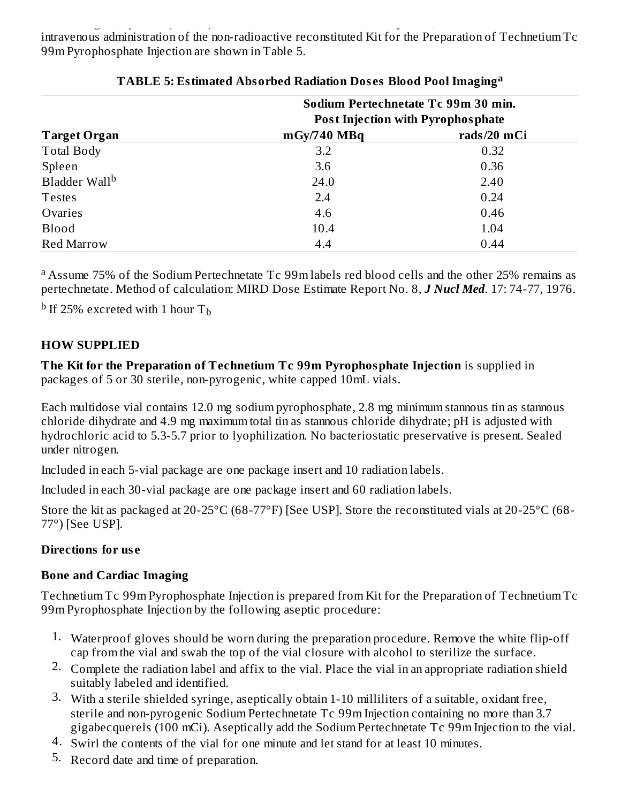of 740 megabecquerels (20 mCi) of Sodium Pertechnetate Tc 99m Injection, 30 minutes after the intravenous administration of the non-radioactive reconstituted Kit for the Preparation of Technetium Tc 99m Pyrophosphate Injection are shown in Table 5.

|                           | Sodium Pertechnetate Tc 99m 30 min.      |             |
|---------------------------|------------------------------------------|-------------|
|                           | <b>Post Injection with Pyrophosphate</b> |             |
| <b>Target Organ</b>       | $mgy/740$ MBq                            | rads/20 mCi |
| <b>Total Body</b>         | 3.2                                      | 0.32        |
| Spleen                    | 3.6                                      | 0.36        |
| Bladder Wall <sup>b</sup> | 24.0                                     | 2.40        |
| <b>Testes</b>             | 2.4                                      | 0.24        |
| Ovaries                   | 4.6                                      | 0.46        |
| <b>Blood</b>              | 10.4                                     | 1.04        |
| <b>Red Marrow</b>         | 4.4                                      | 0.44        |

### **TABLE 5: Estimated Absorbed Radiation Dos es Blood Pool Imaging a**

<sup>a</sup> Assume 75% of the Sodium Pertechnetate Tc 99m labels red blood cells and the other 25% remains as pertechnetate. Method of calculation: MIRD Dose Estimate Report No. 8, *J Nucl Med*. 17: 74-77, 1976.

 $^{\rm b}$  If 25% excreted with 1 hour T $_{\rm b}$ 

### **HOW SUPPLIED**

**The Kit for the Preparation of Technetium Tc 99m Pyrophosphate Injection** is supplied in packages of 5 or 30 sterile, non-pyrogenic, white capped 10mL vials.

Each multidose vial contains 12.0 mg sodium pyrophosphate, 2.8 mg minimum stannous tin as stannous chloride dihydrate and 4.9 mg maximum total tin as stannous chloride dihydrate; pH is adjusted with hydrochloric acid to 5.3-5.7 prior to lyophilization. No bacteriostatic preservative is present. Sealed under nitrogen.

Included in each 5-vial package are one package insert and 10 radiation labels.

Included in each 30-vial package are one package insert and 60 radiation labels.

Store the kit as packaged at 20-25°C (68-77°F) [See USP]. Store the reconstituted vials at 20-25°C (68- 77°) [See USP].

### **Directions for us e**

## **Bone and Cardiac Imaging**

Technetium Tc 99m Pyrophosphate Injection is prepared from Kit for the Preparation of Technetium Tc 99m Pyrophosphate Injection by the following aseptic procedure:

- 1. Waterproof gloves should be worn during the preparation procedure. Remove the white flip-off cap from the vial and swab the top of the vial closure with alcohol to sterilize the surface.
- 2. Complete the radiation label and affix to the vial. Place the vial in an appropriate radiation shield suitably labeled and identified.
- 3. With a sterile shielded syringe, aseptically obtain 1-10 milliliters of a suitable, oxidant free, sterile and non-pyrogenic Sodium Pertechnetate Tc 99m Injection containing no more than 3.7 gigabecquerels (100 mCi). Aseptically add the Sodium Pertechnetate Tc 99m Injection to the vial.
- 4. Swirl the contents of the vial for one minute and let stand for at least 10 minutes.
- 5. Record date and time of preparation.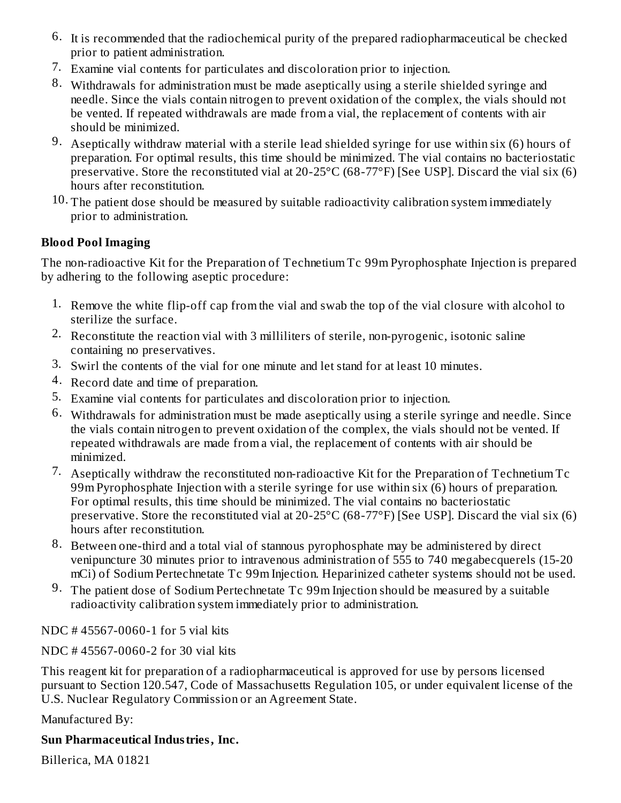- 6. It is recommended that the radiochemical purity of the prepared radiopharmaceutical be checked prior to patient administration.
- 7. Examine vial contents for particulates and discoloration prior to injection.
- 8. Withdrawals for administration must be made aseptically using a sterile shielded syringe and needle. Since the vials contain nitrogen to prevent oxidation of the complex, the vials should not be vented. If repeated withdrawals are made from a vial, the replacement of contents with air should be minimized.
- 9. Aseptically withdraw material with a sterile lead shielded syringe for use within six (6) hours of preparation. For optimal results, this time should be minimized. The vial contains no bacteriostatic preservative. Store the reconstituted vial at 20-25 $\degree$ C (68-77 $\degree$ F) [See USP]. Discard the vial six (6) hours after reconstitution.
- 10. The patient dose should be measured by suitable radioactivity calibration system immediately prior to administration.

## **Blood Pool Imaging**

The non-radioactive Kit for the Preparation of Technetium Tc 99m Pyrophosphate Injection is prepared by adhering to the following aseptic procedure:

- 1. Remove the white flip-off cap from the vial and swab the top of the vial closure with alcohol to sterilize the surface.
- 2. Reconstitute the reaction vial with 3 milliliters of sterile, non-pyrogenic, isotonic saline containing no preservatives.
- 3. Swirl the contents of the vial for one minute and let stand for at least 10 minutes.
- 4. Record date and time of preparation.
- 5. Examine vial contents for particulates and discoloration prior to injection.
- 6. Withdrawals for administration must be made aseptically using a sterile syringe and needle. Since the vials contain nitrogen to prevent oxidation of the complex, the vials should not be vented. If repeated withdrawals are made from a vial, the replacement of contents with air should be minimized.
- 7. Aseptically withdraw the reconstituted non-radioactive Kit for the Preparation of Technetium Tc 99m Pyrophosphate Injection with a sterile syringe for use within six (6) hours of preparation. For optimal results, this time should be minimized. The vial contains no bacteriostatic preservative. Store the reconstituted vial at 20-25°C (68-77°F) [See USP]. Discard the vial six (6) hours after reconstitution.
- 8. Between one-third and a total vial of stannous pyrophosphate may be administered by direct venipuncture 30 minutes prior to intravenous administration of 555 to 740 megabecquerels (15-20 mCi) of Sodium Pertechnetate Tc 99m Injection. Heparinized catheter systems should not be used.
- 9. The patient dose of Sodium Pertechnetate Tc 99m Injection should be measured by a suitable radioactivity calibration system immediately prior to administration.

NDC # 45567-0060-1 for 5 vial kits

NDC # 45567-0060-2 for 30 vial kits

This reagent kit for preparation of a radiopharmaceutical is approved for use by persons licensed pursuant to Section 120.547, Code of Massachusetts Regulation 105, or under equivalent license of the U.S. Nuclear Regulatory Commission or an Agreement State.

Manufactured By:

### **Sun Pharmaceutical Industries, Inc.**

Billerica, MA 01821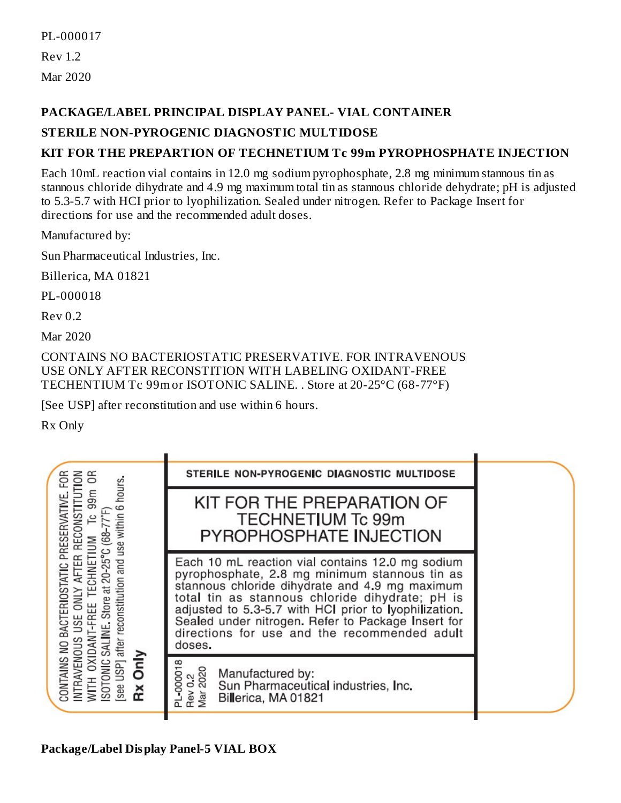PL-000017 Rev 1.2 Mar 2020

### **PACKAGE/LABEL PRINCIPAL DISPLAY PANEL- VIAL CONTAINER**

### **STERILE NON-PYROGENIC DIAGNOSTIC MULTIDOSE**

### **KIT FOR THE PREPARTION OF TECHNETIUM Tc 99m PYROPHOSPHATE INJECTION**

Each 10mL reaction vial contains in 12.0 mg sodium pyrophosphate, 2.8 mg minimum stannous tin as stannous chloride dihydrate and 4.9 mg maximum total tin as stannous chloride dehydrate; pH is adjusted to 5.3-5.7 with HCI prior to lyophilization. Sealed under nitrogen. Refer to Package Insert for directions for use and the recommended adult doses.

Manufactured by:

Sun Pharmaceutical Industries, Inc.

Billerica, MA 01821

PL-000018

 $Rev<sub>0.2</sub>$ 

Mar 2020

CONTAINS NO BACTERIOSTATIC PRESERVATIVE. FOR INTRAVENOUS USE ONLY AFTER RECONSTITION WITH LABELING OXIDANT-FREE TECHENTIUM Tc 99m or ISOTONIC SALINE. . Store at 20-25°C (68-77°F)

[See USP] after reconstitution and use within 6 hours.

Rx Only

| る<br>F <sub>OR</sub><br>δŘ<br>6 hours.<br><u>ទី</u><br>RECONSTITUT<br>PRESERVATIVE<br>use within<br>$(68 - 77)$<br>AFTER<br>after reconstitution and<br>SALINE, Store at 20-25<br>NO BACTERIOSTATIC<br><b>UNLY</b><br>-FREE<br>USE<br>WITH OXIDAN'<br>ISOTONIC SALIN<br>[see USP] after r<br>NTRAVENOUS<br>Rx Only<br>CONTAINS | STERILE NON-PYROGENIC DIAGNOSTIC MULTIDOSE                                                                                                                                                                                                                                                                                                                                      |
|--------------------------------------------------------------------------------------------------------------------------------------------------------------------------------------------------------------------------------------------------------------------------------------------------------------------------------|---------------------------------------------------------------------------------------------------------------------------------------------------------------------------------------------------------------------------------------------------------------------------------------------------------------------------------------------------------------------------------|
|                                                                                                                                                                                                                                                                                                                                | KIT FOR THE PREPARATION OF<br><b>TECHNETIUM Tc 99m</b><br>PYROPHOSPHATE INJECTION                                                                                                                                                                                                                                                                                               |
|                                                                                                                                                                                                                                                                                                                                | Each 10 mL reaction vial contains 12.0 mg sodium<br>pyrophosphate, 2.8 mg minimum stannous tin as<br>stannous chloride dihydrate and 4.9 mg maximum<br>total tin as stannous chloride dihydrate; pH is<br>adjusted to 5.3-5.7 with HCl prior to lyophilization.<br>Sealed under nitrogen. Refer to Package Insert for<br>directions for use and the recommended adult<br>doses. |
|                                                                                                                                                                                                                                                                                                                                | PL-00001<br>Rev 0.2<br>Mar 2020<br>Manufactured by:<br>Sun Pharmaceutical industries, Inc.<br>Billerica, MA 01821                                                                                                                                                                                                                                                               |
|                                                                                                                                                                                                                                                                                                                                |                                                                                                                                                                                                                                                                                                                                                                                 |

**Package/Label Display Panel-5 VIAL BOX**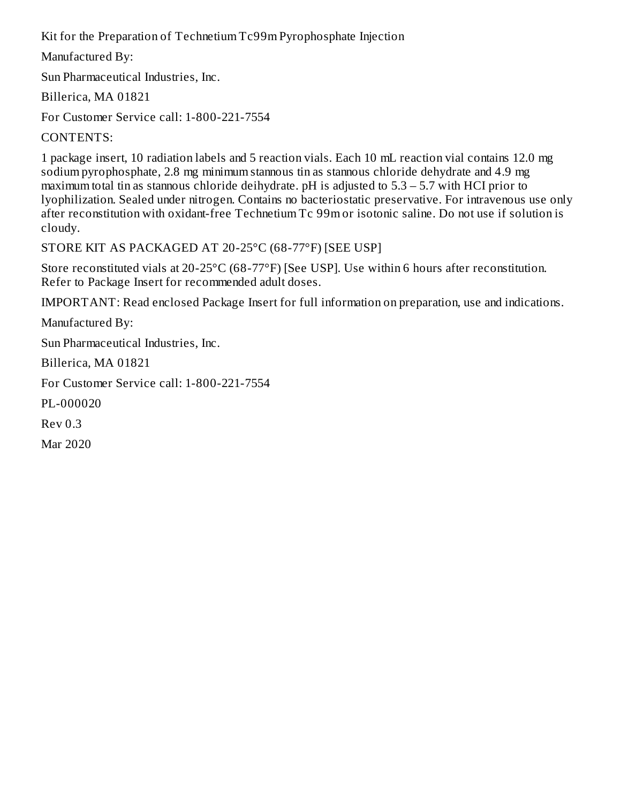Kit for the Preparation of Technetium Tc99m Pyrophosphate Injection

Manufactured By:

Sun Pharmaceutical Industries, Inc.

Billerica, MA 01821

For Customer Service call: 1-800-221-7554

CONTENTS:

1 package insert, 10 radiation labels and 5 reaction vials. Each 10 mL reaction vial contains 12.0 mg sodium pyrophosphate, 2.8 mg minimum stannous tin as stannous chloride dehydrate and 4.9 mg maximum total tin as stannous chloride deihydrate. pH is adjusted to 5.3 – 5.7 with HCI prior to lyophilization. Sealed under nitrogen. Contains no bacteriostatic preservative. For intravenous use only after reconstitution with oxidant-free Technetium Tc 99m or isotonic saline. Do not use if solution is cloudy.

STORE KIT AS PACKAGED AT 20-25°C (68-77°F) [SEE USP]

Store reconstituted vials at 20-25°C (68-77°F) [See USP]. Use within 6 hours after reconstitution. Refer to Package Insert for recommended adult doses.

IMPORTANT: Read enclosed Package Insert for full information on preparation, use and indications.

Manufactured By:

Sun Pharmaceutical Industries, Inc.

Billerica, MA 01821

For Customer Service call: 1-800-221-7554

PL-000020

Rev 0.3

Mar 2020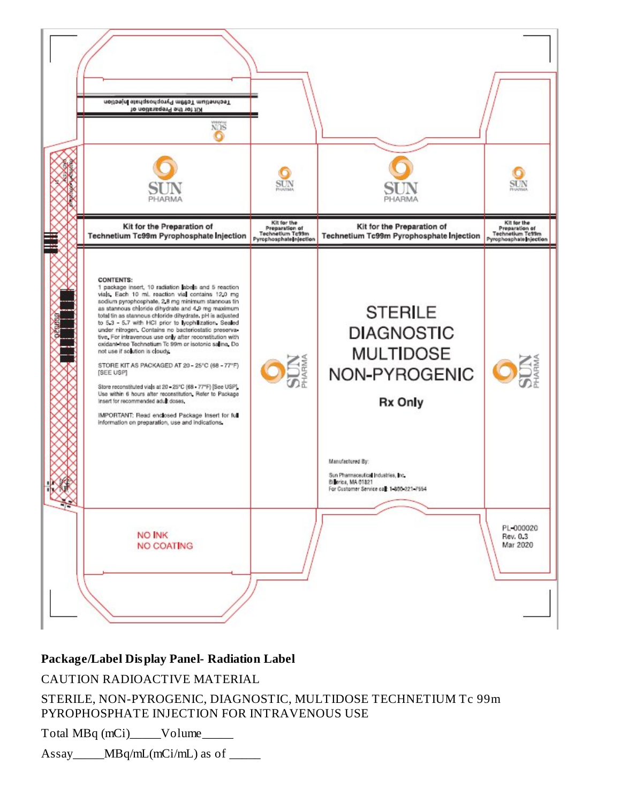

#### **Package/Label Display Panel- Radiation Label**

CAUTION RADIOACTIVE MATERIAL

STERILE, NON-PYROGENIC, DIAGNOSTIC, MULTIDOSE TECHNETIUM Tc 99m PYROPHOSPHATE INJECTION FOR INTRAVENOUS USE

Total MBq (mCi)\_\_\_\_\_Volume\_\_\_\_\_

Assay  $MBq/mL(mCi/mL)$  as of  $\Box$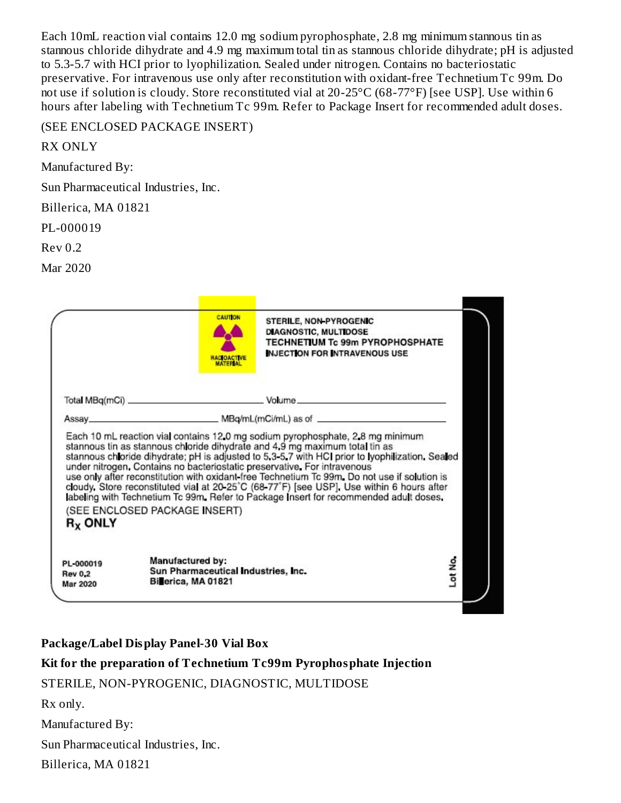Each 10mL reaction vial contains 12.0 mg sodium pyrophosphate, 2.8 mg minimum stannous tin as stannous chloride dihydrate and 4.9 mg maximum total tin as stannous chloride dihydrate; pH is adjusted to 5.3-5.7 with HCI prior to lyophilization. Sealed under nitrogen. Contains no bacteriostatic preservative. For intravenous use only after reconstitution with oxidant-free Technetium Tc 99m. Do not use if solution is cloudy. Store reconstituted vial at 20-25°C (68-77°F) [see USP]. Use within 6 hours after labeling with Technetium Tc 99m. Refer to Package Insert for recommended adult doses.

#### (SEE ENCLOSED PACKAGE INSERT)

RX ONLY

Manufactured By:

Sun Pharmaceutical Industries, Inc.

Billerica, MA 01821

PL-000019

Rev 0.2

Mar 2020

|            | <b>CAUTION</b><br><b>RADIOACTIVE</b> | <b>STERILE, NON PYROGENIC</b><br><b>DIAGNOSTIC, MULTIDOSE</b><br><b>TECHNETIUM Tc 99m PYROPHOSPHATE</b><br><b>INJECTION FOR INTRAVENOUS USE</b>                                                                                                                                                                                                                                                                                                                                                                                                  |  |
|------------|--------------------------------------|--------------------------------------------------------------------------------------------------------------------------------------------------------------------------------------------------------------------------------------------------------------------------------------------------------------------------------------------------------------------------------------------------------------------------------------------------------------------------------------------------------------------------------------------------|--|
|            |                                      |                                                                                                                                                                                                                                                                                                                                                                                                                                                                                                                                                  |  |
|            |                                      |                                                                                                                                                                                                                                                                                                                                                                                                                                                                                                                                                  |  |
|            | (SEE ENCLOSED PACKAGE INSERT)        | stannous tin as stannous chloride dihydrate and 4.9 mg maximum total tin as<br>stannous chloride dihydrate; pH is adjusted to 5.3-5.7 with HCI prior to lyophilization. Sealed<br>under nitrogen. Contains no bacteriostatic preservative. For intravenous<br>use only after reconstitution with oxidant free Technetium Tc 99m. Do not use if solution is<br>cloudy. Store reconstituted vial at 20-25°C (68-77°F) [see USP]. Use within 6 hours after<br>labeling with Technetium Tc 99m. Refer to Package Insert for recommended adult doses. |  |
| $R_X$ ONLY |                                      |                                                                                                                                                                                                                                                                                                                                                                                                                                                                                                                                                  |  |

#### **Package/Label Display Panel-30 Vial Box**

### **Kit for the preparation of Technetium Tc99m Pyrophosphate Injection**

STERILE, NON-PYROGENIC, DIAGNOSTIC, MULTIDOSE

Rx only.

Manufactured By:

Sun Pharmaceutical Industries, Inc.

Billerica, MA 01821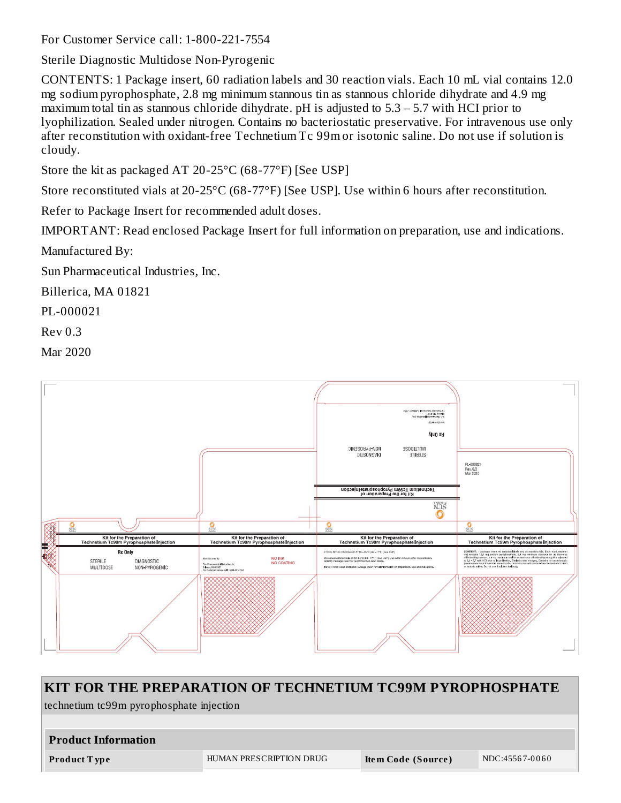For Customer Service call: 1-800-221-7554

Sterile Diagnostic Multidose Non-Pyrogenic

CONTENTS: 1 Package insert, 60 radiation labels and 30 reaction vials. Each 10 mL vial contains 12.0 mg sodium pyrophosphate, 2.8 mg minimum stannous tin as stannous chloride dihydrate and 4.9 mg maximum total tin as stannous chloride dihydrate. pH is adjusted to 5.3 – 5.7 with HCI prior to lyophilization. Sealed under nitrogen. Contains no bacteriostatic preservative. For intravenous use only after reconstitution with oxidant-free Technetium Tc 99m or isotonic saline. Do not use if solution is cloudy.

Store the kit as packaged AT 20-25°C (68-77°F) [See USP]

Store reconstituted vials at 20-25°C (68-77°F) [See USP]. Use within 6 hours after reconstitution.

Refer to Package Insert for recommended adult doses.

IMPORTANT: Read enclosed Package Insert for full information on preparation, use and indications.

Manufactured By:

Sun Pharmaceutical Industries, Inc.

Billerica, MA 01821

PL-000021

Rev 0.3

Mar 2020



| KIT FOR THE PREPARATION OF TECHNETIUM TC99M PYROPHOSPHATE |                         |                    |                |  |
|-----------------------------------------------------------|-------------------------|--------------------|----------------|--|
| technetium tc99m pyrophosphate injection                  |                         |                    |                |  |
|                                                           |                         |                    |                |  |
| <b>Product Information</b>                                |                         |                    |                |  |
| <b>Product Type</b>                                       | HUMAN PRESCRIPTION DRUG | Item Code (Source) | NDC:45567-0060 |  |
|                                                           |                         |                    |                |  |